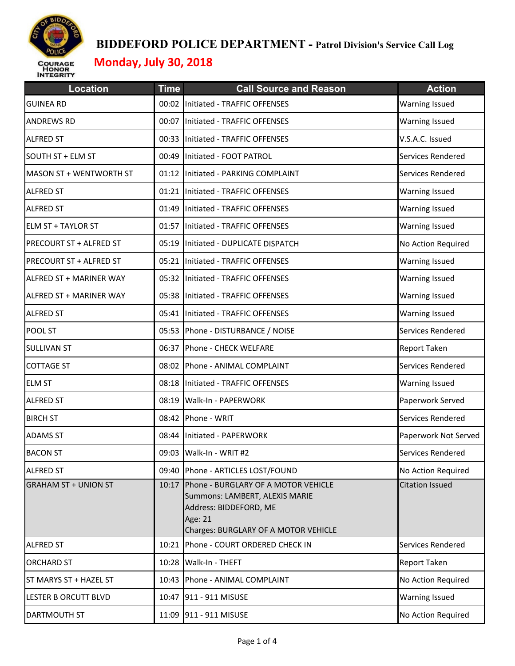

| <b>Location</b>             | <b>Time</b> | <b>Call Source and Reason</b>                                                                                                                      | <b>Action</b>          |
|-----------------------------|-------------|----------------------------------------------------------------------------------------------------------------------------------------------------|------------------------|
| <b>GUINEA RD</b>            |             | 00:02 Initiated - TRAFFIC OFFENSES                                                                                                                 | Warning Issued         |
| <b>ANDREWS RD</b>           |             | 00:07 Initiated - TRAFFIC OFFENSES                                                                                                                 | <b>Warning Issued</b>  |
| <b>ALFRED ST</b>            | 00:33       | Initiated - TRAFFIC OFFENSES                                                                                                                       | V.S.A.C. Issued        |
| SOUTH ST + ELM ST           | 00:49       | Initiated - FOOT PATROL                                                                                                                            | Services Rendered      |
| MASON ST + WENTWORTH ST     |             | 01:12 Initiated - PARKING COMPLAINT                                                                                                                | Services Rendered      |
| <b>ALFRED ST</b>            |             | 01:21 Initiated - TRAFFIC OFFENSES                                                                                                                 | Warning Issued         |
| <b>ALFRED ST</b>            |             | 01:49 Initiated - TRAFFIC OFFENSES                                                                                                                 | <b>Warning Issued</b>  |
| <b>ELM ST + TAYLOR ST</b>   |             | 01:57 Initiated - TRAFFIC OFFENSES                                                                                                                 | <b>Warning Issued</b>  |
| PRECOURT ST + ALFRED ST     |             | 05:19 Initiated - DUPLICATE DISPATCH                                                                                                               | No Action Required     |
| PRECOURT ST + ALFRED ST     | 05:21       | Initiated - TRAFFIC OFFENSES                                                                                                                       | <b>Warning Issued</b>  |
| ALFRED ST + MARINER WAY     |             | 05:32 Initiated - TRAFFIC OFFENSES                                                                                                                 | <b>Warning Issued</b>  |
| ALFRED ST + MARINER WAY     | 05:38       | Initiated - TRAFFIC OFFENSES                                                                                                                       | Warning Issued         |
| <b>ALFRED ST</b>            |             | 05:41 Initiated - TRAFFIC OFFENSES                                                                                                                 | <b>Warning Issued</b>  |
| POOL ST                     | 05:53       | Phone - DISTURBANCE / NOISE                                                                                                                        | Services Rendered      |
| <b>SULLIVAN ST</b>          |             | 06:37 Phone - CHECK WELFARE                                                                                                                        | Report Taken           |
| <b>COTTAGE ST</b>           | 08:02       | Phone - ANIMAL COMPLAINT                                                                                                                           | Services Rendered      |
| <b>ELM ST</b>               | 08:18       | Initiated - TRAFFIC OFFENSES                                                                                                                       | <b>Warning Issued</b>  |
| <b>ALFRED ST</b>            | 08:19       | Walk-In - PAPERWORK                                                                                                                                | Paperwork Served       |
| <b>BIRCH ST</b>             |             | 08:42 Phone - WRIT                                                                                                                                 | Services Rendered      |
| <b>ADAMS ST</b>             | 08:44       | Initiated - PAPERWORK                                                                                                                              | Paperwork Not Served   |
| <b>BACON ST</b>             |             | 09:03 Walk-In - WRIT #2                                                                                                                            | Services Rendered      |
| <b>ALFRED ST</b>            |             | 09:40 Phone - ARTICLES LOST/FOUND                                                                                                                  | No Action Required     |
| <b>GRAHAM ST + UNION ST</b> | 10:17       | Phone - BURGLARY OF A MOTOR VEHICLE<br>Summons: LAMBERT, ALEXIS MARIE<br>Address: BIDDEFORD, ME<br>Age: 21<br>Charges: BURGLARY OF A MOTOR VEHICLE | <b>Citation Issued</b> |
| <b>ALFRED ST</b>            |             | 10:21 Phone - COURT ORDERED CHECK IN                                                                                                               | Services Rendered      |
| <b>ORCHARD ST</b>           |             | 10:28 Walk-In - THEFT                                                                                                                              | <b>Report Taken</b>    |
| ST MARYS ST + HAZEL ST      |             | 10:43 Phone - ANIMAL COMPLAINT                                                                                                                     | No Action Required     |
| LESTER B ORCUTT BLVD        |             | 10:47 911 - 911 MISUSE                                                                                                                             | <b>Warning Issued</b>  |
| <b>DARTMOUTH ST</b>         |             | 11:09 911 - 911 MISUSE                                                                                                                             | No Action Required     |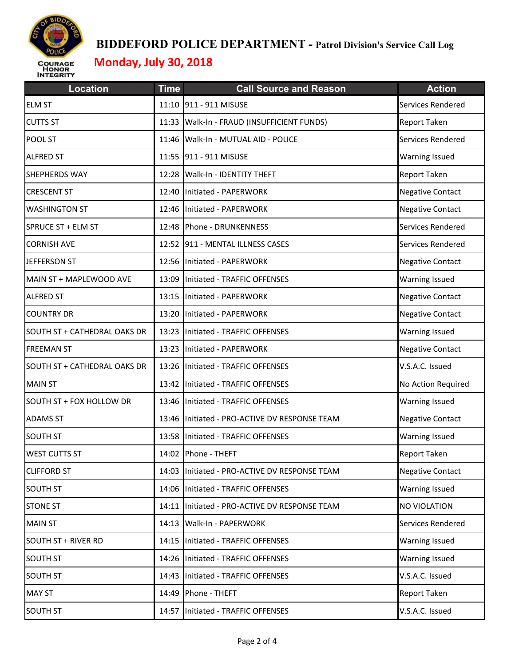

| <b>Location</b>              | <b>Time</b> | <b>Call Source and Reason</b>                 | <b>Action</b>           |
|------------------------------|-------------|-----------------------------------------------|-------------------------|
| <b>ELM ST</b>                |             | 11:10 911 - 911 MISUSE                        | Services Rendered       |
| <b>CUTTS ST</b>              |             | 11:33 Walk-In - FRAUD (INSUFFICIENT FUNDS)    | Report Taken            |
| POOL ST                      | 11:46       | Walk-In - MUTUAL AID - POLICE                 | Services Rendered       |
| <b>ALFRED ST</b>             |             | 11:55 911 - 911 MISUSE                        | Warning Issued          |
| SHEPHERDS WAY                | 12:28       | <b>Walk-In - IDENTITY THEFT</b>               | Report Taken            |
| <b>CRESCENT ST</b>           |             | 12:40 Initiated - PAPERWORK                   | <b>Negative Contact</b> |
| <b>WASHINGTON ST</b>         |             | 12:46 Initiated - PAPERWORK                   | <b>Negative Contact</b> |
| SPRUCE ST + ELM ST           |             | 12:48 Phone - DRUNKENNESS                     | Services Rendered       |
| <b>CORNISH AVE</b>           |             | 12:52 911 - MENTAL ILLNESS CASES              | Services Rendered       |
| JEFFERSON ST                 |             | 12:56 Initiated - PAPERWORK                   | <b>Negative Contact</b> |
| MAIN ST + MAPLEWOOD AVE      |             | 13:09 Initiated - TRAFFIC OFFENSES            | <b>Warning Issued</b>   |
| <b>ALFRED ST</b>             | 13:15       | Initiated - PAPERWORK                         | <b>Negative Contact</b> |
| <b>COUNTRY DR</b>            | 13:20       | Initiated - PAPERWORK                         | <b>Negative Contact</b> |
| SOUTH ST + CATHEDRAL OAKS DR | 13:23       | Initiated - TRAFFIC OFFENSES                  | <b>Warning Issued</b>   |
| <b>FREEMAN ST</b>            | 13:23       | Initiated - PAPERWORK                         | <b>Negative Contact</b> |
| SOUTH ST + CATHEDRAL OAKS DR | 13:26       | Initiated - TRAFFIC OFFENSES                  | V.S.A.C. Issued         |
| <b>MAIN ST</b>               | 13:42       | Initiated - TRAFFIC OFFENSES                  | No Action Required      |
| SOUTH ST + FOX HOLLOW DR     |             | 13:46 Initiated - TRAFFIC OFFENSES            | <b>Warning Issued</b>   |
| <b>ADAMS ST</b>              |             | 13:46 Initiated - PRO-ACTIVE DV RESPONSE TEAM | <b>Negative Contact</b> |
| <b>SOUTH ST</b>              | 13:58       | Initiated - TRAFFIC OFFENSES                  | Warning Issued          |
| <b>WEST CUTTS ST</b>         |             | 14:02 Phone - THEFT                           | Report Taken            |
| <b>CLIFFORD ST</b>           |             | 14:03 Initiated - PRO-ACTIVE DV RESPONSE TEAM | <b>Negative Contact</b> |
| <b>SOUTH ST</b>              |             | 14:06 Initiated - TRAFFIC OFFENSES            | <b>Warning Issued</b>   |
| <b>STONE ST</b>              | 14:11       | Initiated - PRO-ACTIVE DV RESPONSE TEAM       | NO VIOLATION            |
| <b>MAIN ST</b>               |             | 14:13 Walk-In - PAPERWORK                     | Services Rendered       |
| <b>SOUTH ST + RIVER RD</b>   | 14:15       | Initiated - TRAFFIC OFFENSES                  | Warning Issued          |
| <b>SOUTH ST</b>              | 14:26       | Initiated - TRAFFIC OFFENSES                  | Warning Issued          |
| <b>SOUTH ST</b>              | 14:43       | Initiated - TRAFFIC OFFENSES                  | V.S.A.C. Issued         |
| <b>MAY ST</b>                |             | 14:49 Phone - THEFT                           | Report Taken            |
| <b>SOUTH ST</b>              | 14:57       | Initiated - TRAFFIC OFFENSES                  | V.S.A.C. Issued         |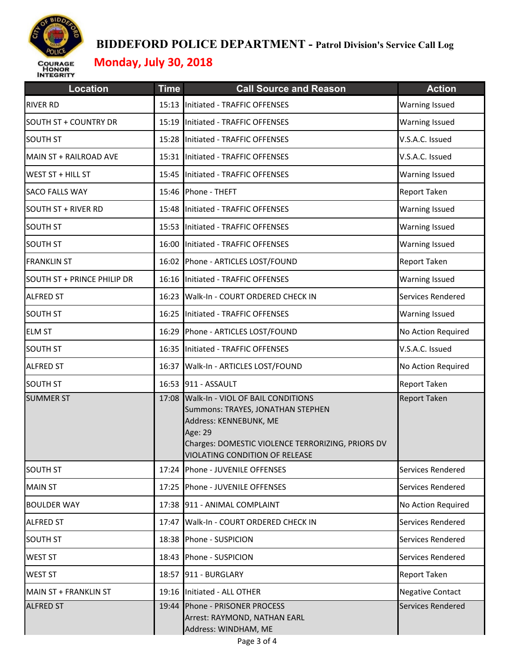

| <b>Location</b>              | <b>Time</b> | <b>Call Source and Reason</b>                                                                                                                                                                      | <b>Action</b>           |
|------------------------------|-------------|----------------------------------------------------------------------------------------------------------------------------------------------------------------------------------------------------|-------------------------|
| <b>RIVER RD</b>              |             | 15:13 Initiated - TRAFFIC OFFENSES                                                                                                                                                                 | <b>Warning Issued</b>   |
| <b>SOUTH ST + COUNTRY DR</b> |             | 15:19 Initiated - TRAFFIC OFFENSES                                                                                                                                                                 | <b>Warning Issued</b>   |
| <b>SOUTH ST</b>              |             | 15:28 Initiated - TRAFFIC OFFENSES                                                                                                                                                                 | V.S.A.C. Issued         |
| MAIN ST + RAILROAD AVE       |             | 15:31 Initiated - TRAFFIC OFFENSES                                                                                                                                                                 | V.S.A.C. Issued         |
| WEST ST + HILL ST            | 15:45       | Initiated - TRAFFIC OFFENSES                                                                                                                                                                       | <b>Warning Issued</b>   |
| <b>SACO FALLS WAY</b>        |             | 15:46 Phone - THEFT                                                                                                                                                                                | Report Taken            |
| <b>SOUTH ST + RIVER RD</b>   | 15:48       | Initiated - TRAFFIC OFFENSES                                                                                                                                                                       | <b>Warning Issued</b>   |
| <b>SOUTH ST</b>              |             | 15:53 Initiated - TRAFFIC OFFENSES                                                                                                                                                                 | <b>Warning Issued</b>   |
| <b>SOUTH ST</b>              |             | 16:00 Initiated - TRAFFIC OFFENSES                                                                                                                                                                 | <b>Warning Issued</b>   |
| <b>FRANKLIN ST</b>           |             | 16:02 Phone - ARTICLES LOST/FOUND                                                                                                                                                                  | Report Taken            |
| SOUTH ST + PRINCE PHILIP DR  |             | 16:16 Initiated - TRAFFIC OFFENSES                                                                                                                                                                 | <b>Warning Issued</b>   |
| <b>ALFRED ST</b>             | 16:23       | Walk-In - COURT ORDERED CHECK IN                                                                                                                                                                   | Services Rendered       |
| <b>SOUTH ST</b>              |             | 16:25 Initiated - TRAFFIC OFFENSES                                                                                                                                                                 | <b>Warning Issued</b>   |
| <b>ELM ST</b>                |             | 16:29 Phone - ARTICLES LOST/FOUND                                                                                                                                                                  | No Action Required      |
| <b>SOUTH ST</b>              |             | 16:35 Initiated - TRAFFIC OFFENSES                                                                                                                                                                 | V.S.A.C. Issued         |
| <b>ALFRED ST</b>             |             | 16:37 Walk-In - ARTICLES LOST/FOUND                                                                                                                                                                | No Action Required      |
| <b>SOUTH ST</b>              |             | 16:53 911 - ASSAULT                                                                                                                                                                                | Report Taken            |
| <b>SUMMER ST</b>             | 17:08       | Walk-In - VIOL OF BAIL CONDITIONS<br>Summons: TRAYES, JONATHAN STEPHEN<br>Address: KENNEBUNK, ME<br>Age: 29<br>Charges: DOMESTIC VIOLENCE TERRORIZING, PRIORS DV<br>VIOLATING CONDITION OF RELEASE | <b>Report Taken</b>     |
| <b>SOUTH ST</b>              |             | 17:24 Phone - JUVENILE OFFENSES                                                                                                                                                                    | Services Rendered       |
| <b>MAIN ST</b>               |             | 17:25 Phone - JUVENILE OFFENSES                                                                                                                                                                    | Services Rendered       |
| <b>BOULDER WAY</b>           |             | 17:38 911 - ANIMAL COMPLAINT                                                                                                                                                                       | No Action Required      |
| <b>ALFRED ST</b>             | 17:47       | Walk-In - COURT ORDERED CHECK IN                                                                                                                                                                   | Services Rendered       |
| <b>SOUTH ST</b>              |             | 18:38 Phone - SUSPICION                                                                                                                                                                            | Services Rendered       |
| <b>WEST ST</b>               | 18:43       | Phone - SUSPICION                                                                                                                                                                                  | Services Rendered       |
| <b>WEST ST</b>               |             | 18:57 911 - BURGLARY                                                                                                                                                                               | Report Taken            |
| MAIN ST + FRANKLIN ST        |             | 19:16 Initiated - ALL OTHER                                                                                                                                                                        | <b>Negative Contact</b> |
| <b>ALFRED ST</b>             |             | 19:44 Phone - PRISONER PROCESS<br>Arrest: RAYMOND, NATHAN EARL<br>Address: WINDHAM, ME                                                                                                             | Services Rendered       |